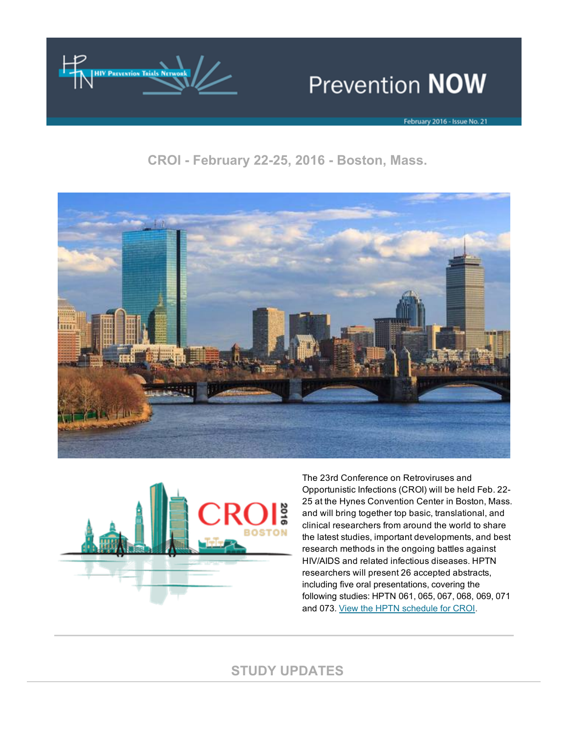

February 2016 - Issue No. 21

# CROI - February 22-25, 2016 - Boston, Mass.





The 23rd Conference on Retroviruses and Opportunistic Infections (CROI) will be held Feb. 22 25 at the Hynes Convention Center in Boston, Mass. and will bring together top basic, translational, and clinical researchers from around the world to share the latest studies, important developments, and best research methods in the ongoing battles against HIV/AIDS and related infectious diseases. HPTN researchers will present 26 accepted abstracts, including five oral presentations, covering the following studies: HPTN 061, 065, 067, 068, 069, 071 and 073. [View the HPTN schedule for CROI.](http://www.hptn.org/web%20documents/CROI2016/HPTN%20at%20CROI%202016.pdf)

# STUDY UPDATES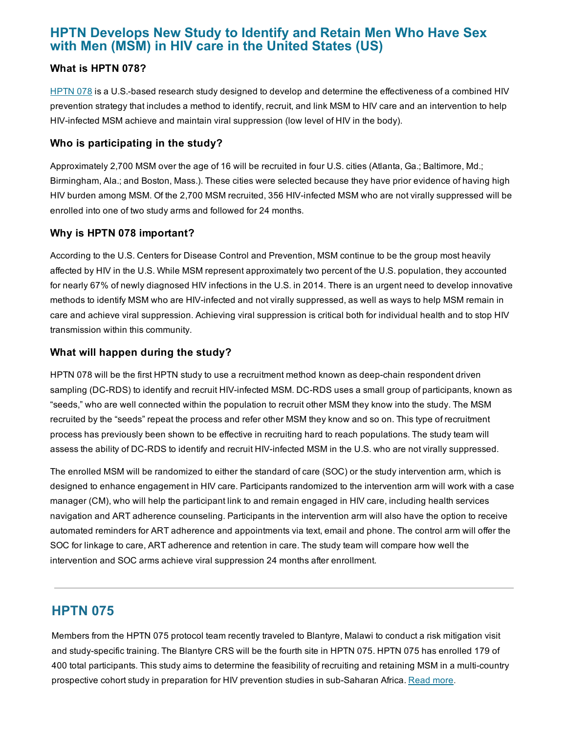### HPTN Develops New Study to Identify and Retain Men Who Have Sex with Men (MSM) in HIV care in the United States (US)

#### What is HPTN 078?

[HPTN 078](http://www.hptn.org/research_studies/hptn078.asp) is a U.S.-based research study designed to develop and determine the effectiveness of a combined HIV prevention strategy that includes a method to identify, recruit, and link MSM to HIV care and an intervention to help HIV-infected MSM achieve and maintain viral suppression (low level of HIV in the body).

### Who is participating in the study?

Approximately 2,700 MSM over the age of 16 will be recruited in four U.S. cities (Atlanta, Ga.; Baltimore, Md.; Birmingham, Ala.; and Boston, Mass.). These cities were selected because they have prior evidence of having high HIV burden among MSM. Of the 2,700 MSM recruited, 356 HIV-infected MSM who are not virally suppressed will be enrolled into one of two study arms and followed for 24 months.

### Why is HPTN 078 important?

According to the U.S. Centers for Disease Control and Prevention, MSM continue to be the group most heavily affected by HIV in the U.S. While MSM represent approximately two percent of the U.S. population, they accounted for nearly 67% of newly diagnosed HIV infections in the U.S. in 2014. There is an urgent need to develop innovative methods to identify MSM who are HIV-infected and not virally suppressed, as well as ways to help MSM remain in care and achieve viral suppression. Achieving viral suppression is critical both for individual health and to stop HIV transmission within this community.

#### What will happen during the study?

HPTN 078 will be the first HPTN study to use a recruitment method known as deep-chain respondent driven sampling (DC-RDS) to identify and recruit HIV-infected MSM. DC-RDS uses a small group of participants, known as "seeds," who are well connected within the population to recruit other MSM they know into the study. The MSM recruited by the "seeds" repeat the process and refer other MSM they know and so on. This type of recruitment process has previously been shown to be effective in recruiting hard to reach populations. The study team will assess the ability of DC-RDS to identify and recruit HIV-infected MSM in the U.S. who are not virally suppressed.

The enrolled MSM will be randomized to either the standard of care (SOC) or the study intervention arm, which is designed to enhance engagement in HIV care. Participants randomized to the intervention arm will work with a case manager (CM), who will help the participant link to and remain engaged in HIV care, including health services navigation and ART adherence counseling. Participants in the intervention arm will also have the option to receive automated reminders for ART adherence and appointments via text, email and phone. The control arm will offer the SOC for linkage to care, ART adherence and retention in care. The study team will compare how well the intervention and SOC arms achieve viral suppression 24 months after enrollment.

### **HPTN 075**

Members from the HPTN 075 protocol team recently traveled to Blantyre, Malawi to conduct a risk mitigation visit and study-specific training. The Blantyre CRS will be the fourth site in HPTN 075. HPTN 075 has enrolled 179 of 400 total participants. This study aims to determine the feasibility of recruiting and retaining MSM in a multi-country prospective cohort study in preparation for HIV prevention studies in sub-Saharan Africa. [Read more.](http://www.hptn.org/research_studies/HPTN075.asp)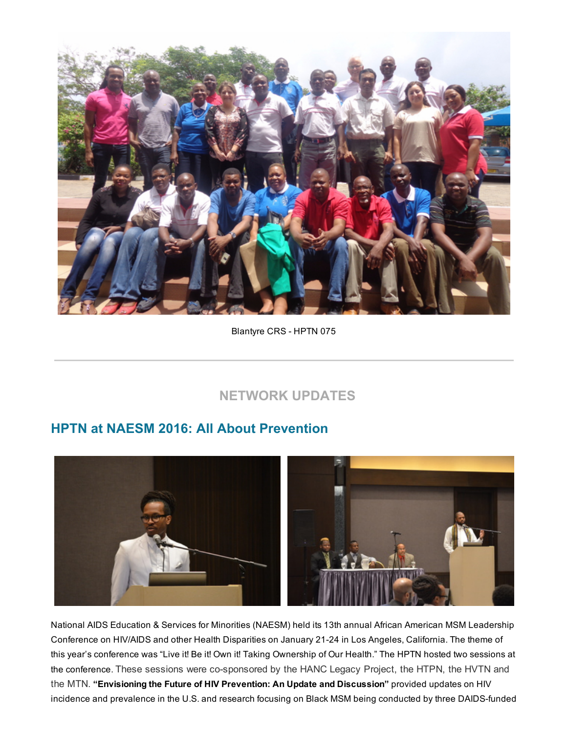

Blantyre CRS - HPTN 075

# NETWORK UPDATES

## HPTN at NAESM 2016: All About Prevention



National AIDS Education & Services for Minorities (NAESM) held its 13th annual African American MSM Leadership Conference on HIV/AIDS and other Health Disparities on January 21-24 in Los Angeles, California. The theme of this year's conference was "Live it! Be it! Own it! Taking Ownership of Our Health." The HPTN hosted two sessions at the conference. These sessions were co-sponsored by the HANC Legacy Project, the HTPN, the HVTN and the MTN. "Envisioning the Future of HIV Prevention: An Update and Discussion" provided updates on HIV incidence and prevalence in the U.S. and research focusing on Black MSM being conducted by three DAIDS-funded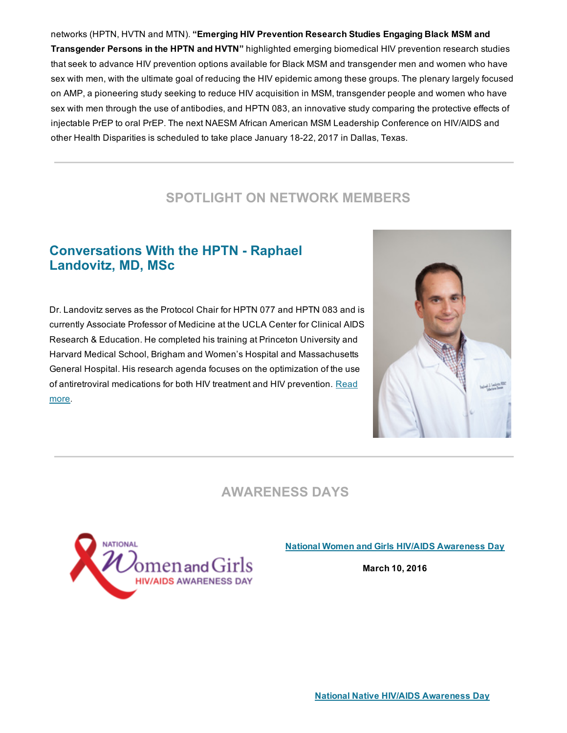networks (HPTN, HVTN and MTN). "Emerging HIV Prevention Research Studies Engaging Black MSM and Transgender Persons in the HPTN and HVTN" highlighted emerging biomedical HIV prevention research studies that seek to advance HIV prevention options available for Black MSM and transgender men and women who have sex with men, with the ultimate goal of reducing the HIV epidemic among these groups. The plenary largely focused on AMP, a pioneering study seeking to reduce HIV acquisition in MSM, transgender people and women who have sex with men through the use of antibodies, and HPTN 083, an innovative study comparing the protective effects of injectable PrEP to oral PrEP. The next NAESM African American MSM Leadership Conference on HIV/AIDS and other Health Disparities is scheduled to take place January 18-22, 2017 in Dallas, Texas.

### SPOTLIGHT ON NETWORK MEMBERS

### **Conversations With the HPTN - Raphael** Landovitz, MD, MSc

Dr. Landovitz serves as the Protocol Chair for HPTN 077 and HPTN 083 and is currently Associate Professor of Medicine at the UCLA Center for Clinical AIDS Research & Education. He completed his training at Princeton University and Harvard Medical School, Brigham and Women's Hospital and Massachusetts General Hospital. His research agenda focuses on the optimization of the use [of antiretroviral medications for both HIV treatment and HIV prevention.](http://hptn.org/network_information/hptnnews/15/conversations_raphael.html) Read more.



## AWARENESS DAYS



[National Women and Girls HIV/AIDS Awareness Day](http://www.womenshealth.gov/NWGHAAD/)

March 10, 2016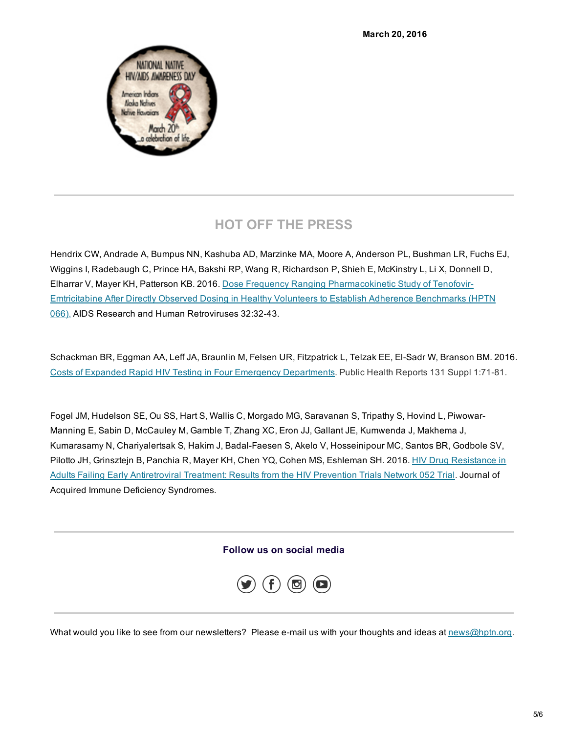

# HOT OFF THE PRESS

Hendrix CW, Andrade A, Bumpus NN, Kashuba AD, Marzinke MA, Moore A, Anderson PL, Bushman LR, Fuchs EJ, Wiggins I, Radebaugh C, Prince HA, Bakshi RP, Wang R, Richardson P, Shieh E, McKinstry L, Li X, Donnell D, Elharrar V, Mayer KH, Patterson KB. 2016. Dose Frequency Ranging Pharmacokinetic Study of Tenofovir-[Emtricitabine After Directly Observed Dosing in Healthy Volunteers to Establish Adherence Benchmarks \(HPTN](http://www.ncbi.nlm.nih.gov/pubmed/26414912) 066). AIDS Research and Human Retroviruses 32:3243.

Schackman BR, Eggman AA, Leff JA, Braunlin M, Felsen UR, Fitzpatrick L, Telzak EE, El-Sadr W, Branson BM, 2016. [Costs of Expanded Rapid HIV Testing in Four Emergency Departments.](http://www.ncbi.nlm.nih.gov/pubmed/26862232) Public Health Reports 131 Suppl 1:7181.

Fogel JM, Hudelson SE, Ou SS, Hart S, Wallis C, Morgado MG, Saravanan S, Tripathy S, Hovind L, Piwowar-Manning E, Sabin D, McCauley M, Gamble T, Zhang XC, Eron JJ, Gallant JE, Kumwenda J, Makhema J, Kumarasamy N, Chariyalertsak S, Hakim J, Badal-Faesen S, Akelo V, Hosseinipour MC, Santos BR, Godbole SV, Pilotto JH, Grinsztejn B, Panchia R, Mayer KH, Chen YQ, Cohen MS, Eshleman SH. 2016. HIV Drug Resistance in [Adults Failing Early Antiretroviral Treatment: Results from the HIV Prevention Trials Network 052 Trial. Journal of](http://www.ncbi.nlm.nih.gov/pubmed/26859828) Acquired Immune Deficiency Syndromes.

#### Follow us on social media



What would you like to see from our newsletters? Please e-mail us with your thoughts and ideas at [news@hptn.org.](mailto:news@hptn.org?subject=)